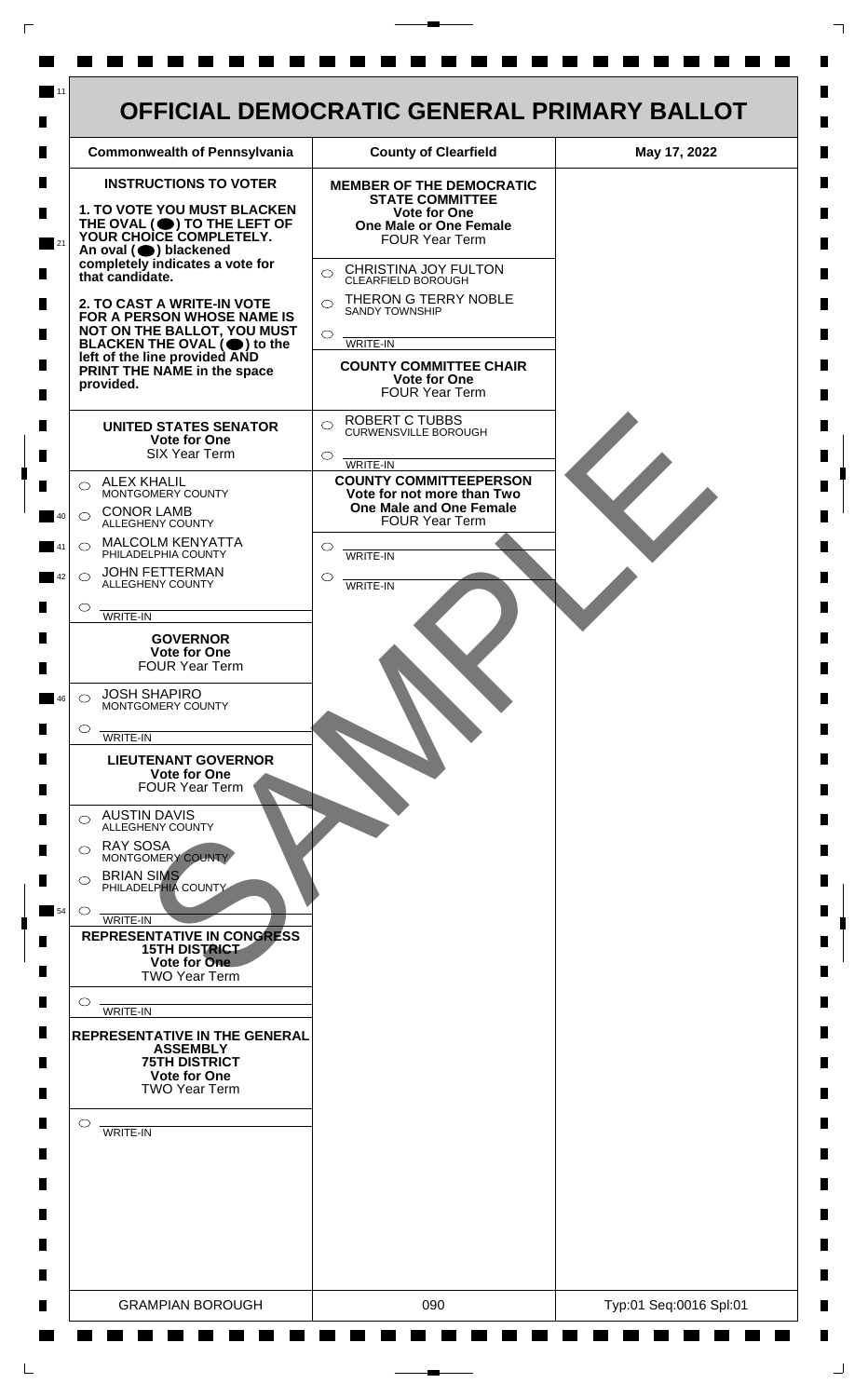

 $\mathsf{L}$